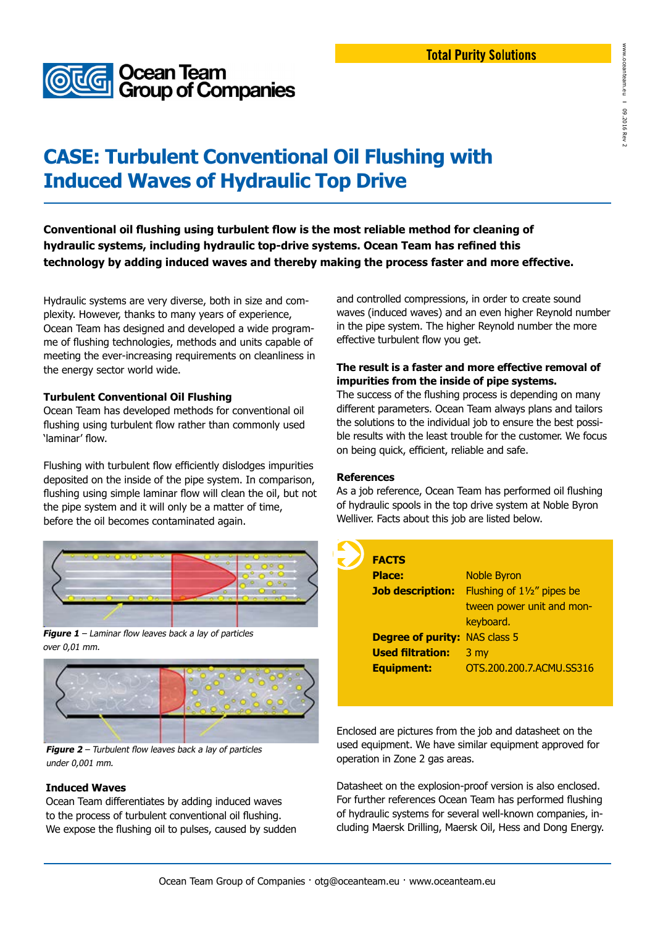

# **CASE: Turbulent Conventional Oil Flushing with Induced Waves of Hydraulic Top Drive**

**Conventional oil flushing using turbulent flow is the most reliable method for cleaning of hydraulic systems, including hydraulic top-drive systems. Ocean Team has refined this technology by adding induced waves and thereby making the process faster and more effective.**

Hydraulic systems are very diverse, both in size and complexity. However, thanks to many years of experience, Ocean Team has designed and developed a wide programme of flushing technologies, methods and units capable of meeting the ever-increasing requirements on cleanliness in the energy sector world wide.

### **Turbulent Conventional Oil Flushing**

Ocean Team has developed methods for conventional oil flushing using turbulent flow rather than commonly used 'laminar' flow.

Flushing with turbulent flow efficiently dislodges impurities deposited on the inside of the pipe system. In comparison, flushing using simple laminar flow will clean the oil, but not the pipe system and it will only be a matter of time, before the oil becomes contaminated again.



**Figure 1** – Laminar flow leaves back a lay of particles over 0,01 mm.



**Figure 2** – Turbulent flow leaves back a lay of particles under 0,001 mm.

#### **Induced Waves**

Ocean Team differentiates by adding induced waves to the process of turbulent conventional oil flushing. We expose the flushing oil to pulses, caused by sudden and controlled compressions, in order to create sound waves (induced waves) and an even higher Reynold number in the pipe system. The higher Reynold number the more effective turbulent flow you get.

#### **The result is a faster and more effective removal of impurities from the inside of pipe systems.**

The success of the flushing process is depending on many different parameters. Ocean Team always plans and tailors the solutions to the individual job to ensure the best possible results with the least trouble for the customer. We focus on being quick, efficient, reliable and safe.

**References**

As a job reference, Ocean Team has performed oil flushing of hydraulic spools in the top drive system at Noble Byron Welliver. Facts about this job are listed below.



Enclosed are pictures from the job and datasheet on the used equipment. We have similar equipment approved for operation in Zone 2 gas areas.

Datasheet on the explosion-proof version is also enclosed. For further references Ocean Team has performed flushing of hydraulic systems for several well-known companies, including Maersk Drilling, Maersk Oil, Hess and Dong Energy.